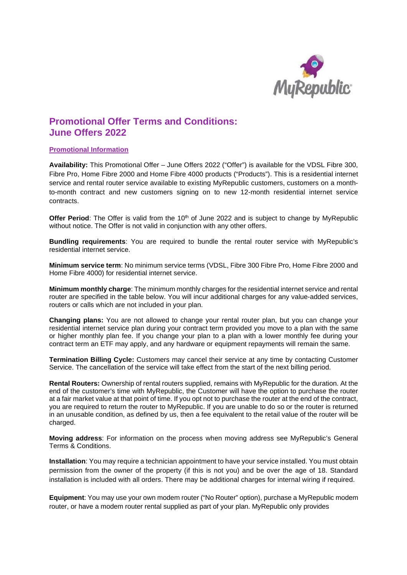

# **Promotional Offer Terms and Conditions: June Offers 2022**

### **Promotional Information**

**Availability:** This Promotional Offer – June Offers 2022 ("Offer") is available for the VDSL Fibre 300, Fibre Pro, Home Fibre 2000 and Home Fibre 4000 products ("Products"). This is a residential internet service and rental router service available to existing MyRepublic customers, customers on a monthto-month contract and new customers signing on to new 12-month residential internet service contracts.

**Offer Period:** The Offer is valid from the 10<sup>th</sup> of June 2022 and is subject to change by MyRepublic without notice. The Offer is not valid in conjunction with any other offers.

**Bundling requirements**: You are required to bundle the rental router service with MyRepublic's residential internet service.

**Minimum service term**: No minimum service terms (VDSL, Fibre 300 Fibre Pro, Home Fibre 2000 and Home Fibre 4000) for residential internet service.

**Minimum monthly charge**: The minimum monthly charges for the residential internet service and rental router are specified in the table below. You will incur additional charges for any value-added services, routers or calls which are not included in your plan.

**Changing plans:** You are not allowed to change your rental router plan, but you can change your residential internet service plan during your contract term provided you move to a plan with the same or higher monthly plan fee. If you change your plan to a plan with a lower monthly fee during your contract term an ETF may apply, and any hardware or equipment repayments will remain the same.

**Termination Billing Cycle:** Customers may cancel their service at any time by contacting Customer Service. The cancellation of the service will take effect from the start of the next billing period.

**Rental Routers:** Ownership of rental routers supplied, remains with MyRepublic for the duration. At the end of the customer's time with MyRepublic, the Customer will have the option to purchase the router at a fair market value at that point of time. If you opt not to purchase the router at the end of the contract, you are required to return the router to MyRepublic. If you are unable to do so or the router is returned in an unusable condition, as defined by us, then a fee equivalent to the retail value of the router will be charged.

**Moving address**: For information on the process when moving address see MyRepublic's General Terms & Conditions.

**Installation**: You may require a technician appointment to have your service installed. You must obtain permission from the owner of the property (if this is not you) and be over the age of 18. Standard installation is included with all orders. There may be additional charges for internal wiring if required.

**Equipment**: You may use your own modem router ("No Router" option), purchase a MyRepublic modem router, or have a modem router rental supplied as part of your plan. MyRepublic only provides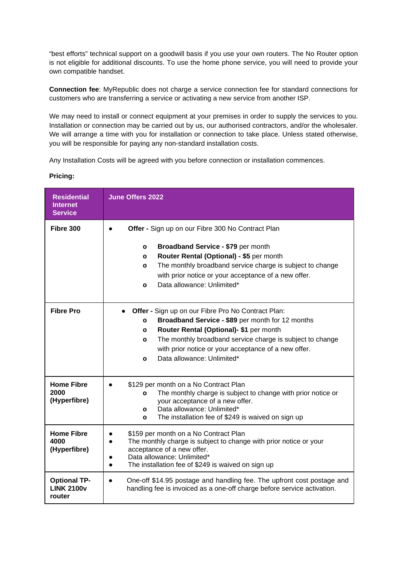"best efforts" technical support on a goodwill basis if you use your own routers. The No Router option is not eligible for additional discounts. To use the home phone service, you will need to provide your own compatible handset.

**Connection fee**: MyRepublic does not charge a service connection fee for standard connections for customers who are transferring a service or activating a new service from another ISP.

We may need to install or connect equipment at your premises in order to supply the services to you. Installation or connection may be carried out by us, our authorised contractors, and/or the wholesaler. We will arrange a time with you for installation or connection to take place. Unless stated otherwise, you will be responsible for paying any non-standard installation costs.

Any Installation Costs will be agreed with you before connection or installation commences.

| <b>Residential</b><br><b>Internet</b><br><b>Service</b> | <b>June Offers 2022</b>                                                                                                                                                                                                                                                                                                        |
|---------------------------------------------------------|--------------------------------------------------------------------------------------------------------------------------------------------------------------------------------------------------------------------------------------------------------------------------------------------------------------------------------|
| Fibre 300                                               | Offer - Sign up on our Fibre 300 No Contract Plan<br>Broadband Service - \$79 per month<br>O<br>Router Rental (Optional) - \$5 per month<br>$\circ$<br>The monthly broadband service charge is subject to change<br>O<br>with prior notice or your acceptance of a new offer.<br>Data allowance: Unlimited*<br>O               |
| <b>Fibre Pro</b>                                        | Offer - Sign up on our Fibre Pro No Contract Plan:<br>Broadband Service - \$89 per month for 12 months<br>O<br>Router Rental (Optional)- \$1 per month<br>o<br>The monthly broadband service charge is subject to change<br>$\circ$<br>with prior notice or your acceptance of a new offer.<br>Data allowance: Unlimited*<br>O |
| <b>Home Fibre</b><br>2000<br>(Hyperfibre)               | \$129 per month on a No Contract Plan<br>The monthly charge is subject to change with prior notice or<br>O<br>your acceptance of a new offer.<br>Data allowance: Unlimited*<br>o<br>The installation fee of \$249 is waived on sign up<br>O                                                                                    |
| <b>Home Fibre</b><br>4000<br>(Hyperfibre)               | \$159 per month on a No Contract Plan<br>The monthly charge is subject to change with prior notice or your<br>$\bullet$<br>acceptance of a new offer.<br>Data allowance: Unlimited*<br>The installation fee of \$249 is waived on sign up                                                                                      |
| <b>Optional TP-</b><br><b>LINK 2100v</b><br>router      | One-off \$14.95 postage and handling fee. The upfront cost postage and<br>handling fee is invoiced as a one-off charge before service activation.                                                                                                                                                                              |

## **Pricing:**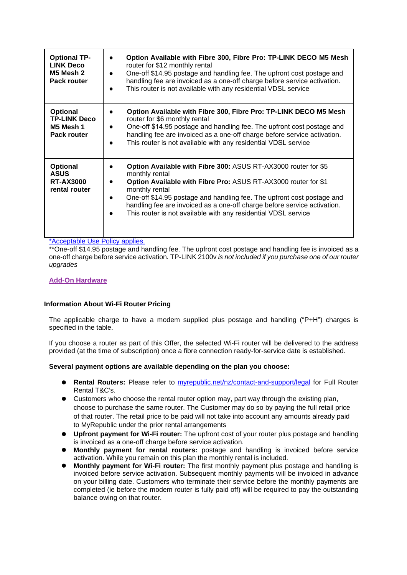| <b>Optional TP-</b><br><b>LINK Deco</b><br>M5 Mesh 2<br><b>Pack router</b> | Option Available with Fibre 300, Fibre Pro: TP-LINK DECO M5 Mesh<br>router for \$12 monthly rental<br>One-off \$14.95 postage and handling fee. The upfront cost postage and<br>handling fee are invoiced as a one-off charge before service activation.<br>This router is not available with any residential VDSL service                                                                   |
|----------------------------------------------------------------------------|----------------------------------------------------------------------------------------------------------------------------------------------------------------------------------------------------------------------------------------------------------------------------------------------------------------------------------------------------------------------------------------------|
| <b>Optional</b><br><b>TP-LINK Deco</b><br>M5 Mesh 1<br>Pack router         | Option Available with Fibre 300, Fibre Pro: TP-LINK DECO M5 Mesh<br>router for \$6 monthly rental<br>One-off \$14.95 postage and handling fee. The upfront cost postage and<br>handling fee are invoiced as a one-off charge before service activation.<br>This router is not available with any residential VDSL service                                                                    |
| <b>Optional</b><br><b>ASUS</b><br><b>RT-AX3000</b><br>rental router        | Option Available with Fibre 300: ASUS RT-AX3000 router for \$5<br>monthly rental<br>Option Available with Fibre Pro: ASUS RT-AX3000 router for \$1<br>monthly rental<br>One-off \$14.95 postage and handling fee. The upfront cost postage and<br>handling fee are invoiced as a one-off charge before service activation.<br>This router is not available with any residential VDSL service |

[\\*A](https://myrepublic.net/nz/wp-content/uploads/2018/01/Acceptable-Use-Policy-Updated-15012018.pdf)cceptable Use Policy applies.

\*\*One-off \$14.95 postage and handling fee. The upfront cost postage and handling fee is invoiced as a one-off charge before service activation*.* TP-LINK 2100v *is not included if you purchase one of our router upgrades*

## **Add-On Hardware**

## **Information About Wi-Fi Router Pricing**

The applicable charge to have a modem supplied plus postage and handling ("P+H") charges is specified in the table.

If you choose a router as part of this Offer, the selected Wi-Fi router will be delivered to the address provided (at the time of subscription) once a fibre connection ready-for-service date is established.

#### **Several payment options are available depending on the plan you choose:**

- **Rental Routers:** Please refer to [myrepublic.net/nz/contact-and-support/legal](http://myrepublic.net/nz/contact-and-support/legal) for Full Router Rental T&C's.
- Customers who choose the rental router option may, part way through the existing plan, choose to purchase the same router. The Customer may do so by paying the full retail price of that router. The retail price to be paid will not take into account any amounts already paid to MyRepublic under the prior rental arrangements
- **Upfront payment for Wi-Fi router:** The upfront cost of your router plus postage and handling is invoiced as a one-off charge before service activation.
- **Monthly payment for rental routers:** postage and handling is invoiced before service activation. While you remain on this plan the monthly rental is included.
- **Monthly payment for Wi-Fi router:** The first monthly payment plus postage and handling is invoiced before service activation. Subsequent monthly payments will be invoiced in advance on your billing date. Customers who terminate their service before the monthly payments are completed (ie before the modem router is fully paid off) will be required to pay the outstanding balance owing on that router.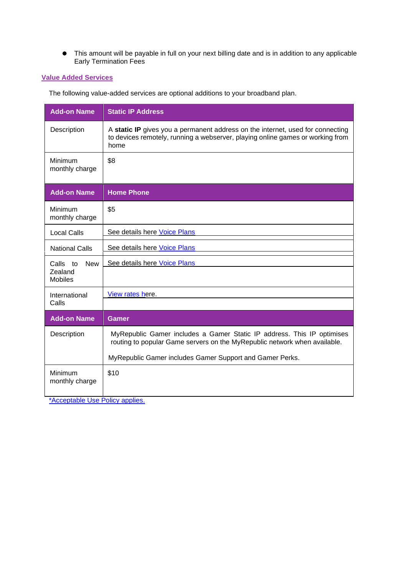This amount will be payable in full on your next billing date and is in addition to any applicable Early Termination Fees

## **Value Added Services**

The following value-added services are optional additions to your broadband plan.

| <b>Add-on Name</b>                                  | <b>Static IP Address</b>                                                                                                                                                                                        |
|-----------------------------------------------------|-----------------------------------------------------------------------------------------------------------------------------------------------------------------------------------------------------------------|
| Description                                         | A static IP gives you a permanent address on the internet, used for connecting<br>to devices remotely, running a webserver, playing online games or working from<br>home                                        |
| Minimum<br>monthly charge                           | \$8                                                                                                                                                                                                             |
| <b>Add-on Name</b>                                  | <b>Home Phone</b>                                                                                                                                                                                               |
| Minimum<br>monthly charge                           | \$5                                                                                                                                                                                                             |
| <b>Local Calls</b>                                  | See details here Voice Plans                                                                                                                                                                                    |
| <b>National Calls</b>                               | See details here Voice Plans                                                                                                                                                                                    |
| <b>New</b><br>Calls to<br>Zealand<br><b>Mobiles</b> | See details here Voice Plans                                                                                                                                                                                    |
| International<br>Calls                              | View rates here.                                                                                                                                                                                                |
| <b>Add-on Name</b>                                  | <b>Gamer</b>                                                                                                                                                                                                    |
| Description                                         | MyRepublic Gamer includes a Gamer Static IP address. This IP optimises<br>routing to popular Game servers on the MyRepublic network when available.<br>MyRepublic Gamer includes Gamer Support and Gamer Perks. |
| Minimum<br>monthly charge                           | \$10                                                                                                                                                                                                            |

[\\*A](https://myrepublic.net/nz/wp-content/uploads/2018/01/Acceptable-Use-Policy-Updated-15012018.pdf)cceptable Use Policy applies.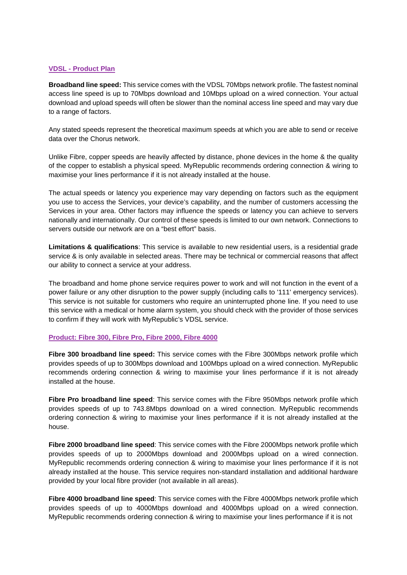## **VDSL - Product Plan**

**Broadband line speed:** This service comes with the VDSL 70Mbps network profile. The fastest nominal access line speed is up to 70Mbps download and 10Mbps upload on a wired connection. Your actual download and upload speeds will often be slower than the nominal access line speed and may vary due to a range of factors.

Any stated speeds represent the theoretical maximum speeds at which you are able to send or receive data over the Chorus network.

Unlike Fibre, copper speeds are heavily affected by distance, phone devices in the home & the quality of the copper to establish a physical speed. MyRepublic recommends ordering connection & wiring to maximise your lines performance if it is not already installed at the house.

The actual speeds or latency you experience may vary depending on factors such as the equipment you use to access the Services, your device's capability, and the number of customers accessing the Services in your area. Other factors may influence the speeds or latency you can achieve to servers nationally and internationally. Our control of these speeds is limited to our own network. Connections to servers outside our network are on a "best effort" basis.

**Limitations & qualifications**: This service is available to new residential users, is a residential grade service & is only available in selected areas. There may be technical or commercial reasons that affect our ability to connect a service at your address.

The broadband and home phone service requires power to work and will not function in the event of a power failure or any other disruption to the power supply (including calls to '111' emergency services). This service is not suitable for customers who require an uninterrupted phone line. If you need to use this service with a medical or home alarm system, you should check with the provider of those services to confirm if they will work with MyRepublic's VDSL service.

#### **Product: Fibre 300, Fibre Pro, Fibre 2000, Fibre 4000**

**Fibre 300 broadband line speed:** This service comes with the Fibre 300Mbps network profile which provides speeds of up to 300Mbps download and 100Mbps upload on a wired connection. MyRepublic recommends ordering connection & wiring to maximise your lines performance if it is not already installed at the house.

**Fibre Pro broadband line speed**: This service comes with the Fibre 950Mbps network profile which provides speeds of up to 743.8Mbps download on a wired connection. MyRepublic recommends ordering connection & wiring to maximise your lines performance if it is not already installed at the house.

**Fibre 2000 broadband line speed**: This service comes with the Fibre 2000Mbps network profile which provides speeds of up to 2000Mbps download and 2000Mbps upload on a wired connection. MyRepublic recommends ordering connection & wiring to maximise your lines performance if it is not already installed at the house. This service requires non-standard installation and additional hardware provided by your local fibre provider (not available in all areas).

**Fibre 4000 broadband line speed**: This service comes with the Fibre 4000Mbps network profile which provides speeds of up to 4000Mbps download and 4000Mbps upload on a wired connection. MyRepublic recommends ordering connection & wiring to maximise your lines performance if it is not